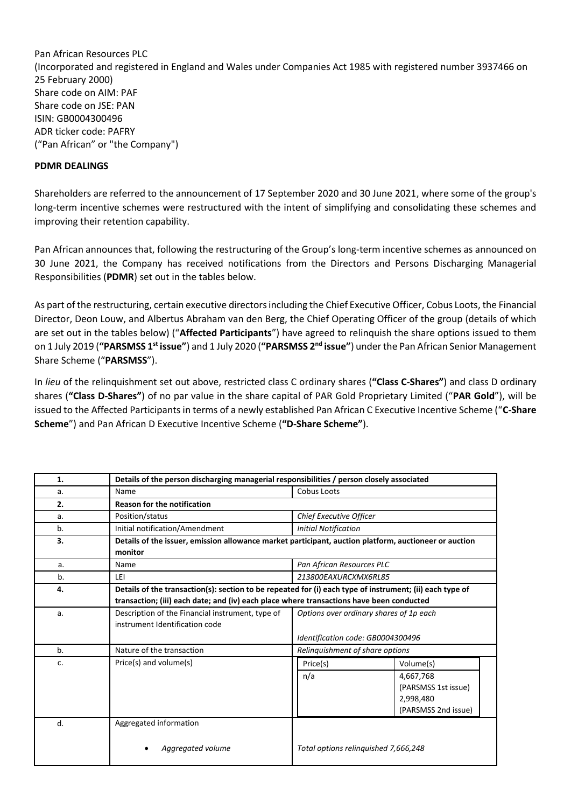Pan African Resources PLC (Incorporated and registered in England and Wales under Companies Act 1985 with registered number 3937466 on 25 February 2000) Share code on AIM: PAF Share code on JSE: PAN ISIN: GB0004300496 ADR ticker code: PAFRY ("Pan African" or "the Company")

## **PDMR DEALINGS**

Shareholders are referred to the announcement of 17 September 2020 and 30 June 2021, where some of the group's long-term incentive schemes were restructured with the intent of simplifying and consolidating these schemes and improving their retention capability.

Pan African announces that, following the restructuring of the Group's long-term incentive schemes as announced on 30 June 2021, the Company has received notifications from the Directors and Persons Discharging Managerial Responsibilities (**PDMR**) set out in the tables below.

As part of the restructuring, certain executive directors including the Chief Executive Officer, Cobus Loots, the Financial Director, Deon Louw, and Albertus Abraham van den Berg, the Chief Operating Officer of the group (details of which are set out in the tables below) ("**Affected Participants**") have agreed to relinquish the share options issued to them on 1 July 2019 (**"PARSMSS 1st issue"**) and 1 July 2020 (**"PARSMSS 2nd issue"**) under the Pan African Senior Management Share Scheme ("**PARSMSS**").

In *lieu* of the relinquishment set out above, restricted class C ordinary shares (**"Class C-Shares"**) and class D ordinary shares (**"Class D-Shares"**) of no par value in the share capital of PAR Gold Proprietary Limited ("**PAR Gold**"), will be issued to the Affected Participants in terms of a newly established Pan African C Executive Incentive Scheme ("**C-Share Scheme**") and Pan African D Executive Incentive Scheme (**"D-Share Scheme"**).

| 1. | Details of the person discharging managerial responsibilities / person closely associated                                                                                                            |                                                                              |                                                                                   |  |
|----|------------------------------------------------------------------------------------------------------------------------------------------------------------------------------------------------------|------------------------------------------------------------------------------|-----------------------------------------------------------------------------------|--|
| a. | Name                                                                                                                                                                                                 | Cobus Loots                                                                  |                                                                                   |  |
| 2. | <b>Reason for the notification</b>                                                                                                                                                                   |                                                                              |                                                                                   |  |
| a. | Position/status                                                                                                                                                                                      | Chief Executive Officer                                                      |                                                                                   |  |
| b. | Initial notification/Amendment                                                                                                                                                                       | <b>Initial Notification</b>                                                  |                                                                                   |  |
| 3. | Details of the issuer, emission allowance market participant, auction platform, auctioneer or auction<br>monitor                                                                                     |                                                                              |                                                                                   |  |
| a. | Name                                                                                                                                                                                                 | Pan African Resources PLC                                                    |                                                                                   |  |
| b. | LEI                                                                                                                                                                                                  | 213800EAXURCXMX6RL85                                                         |                                                                                   |  |
| 4. | Details of the transaction(s): section to be repeated for (i) each type of instrument; (ii) each type of<br>transaction; (iii) each date; and (iv) each place where transactions have been conducted |                                                                              |                                                                                   |  |
| a. | Description of the Financial instrument, type of<br>instrument Identification code                                                                                                                   | Options over ordinary shares of 1p each<br>Identification code: GB0004300496 |                                                                                   |  |
| b. | Nature of the transaction                                                                                                                                                                            | Relinquishment of share options                                              |                                                                                   |  |
| c. | Price(s) and volume(s)                                                                                                                                                                               | Price(s)<br>n/a                                                              | Volume(s)<br>4,667,768<br>(PARSMSS 1st issue)<br>2,998,480<br>(PARSMSS 2nd issue) |  |
| d. | Aggregated information<br>Aggregated volume                                                                                                                                                          | Total options relinguished 7,666,248                                         |                                                                                   |  |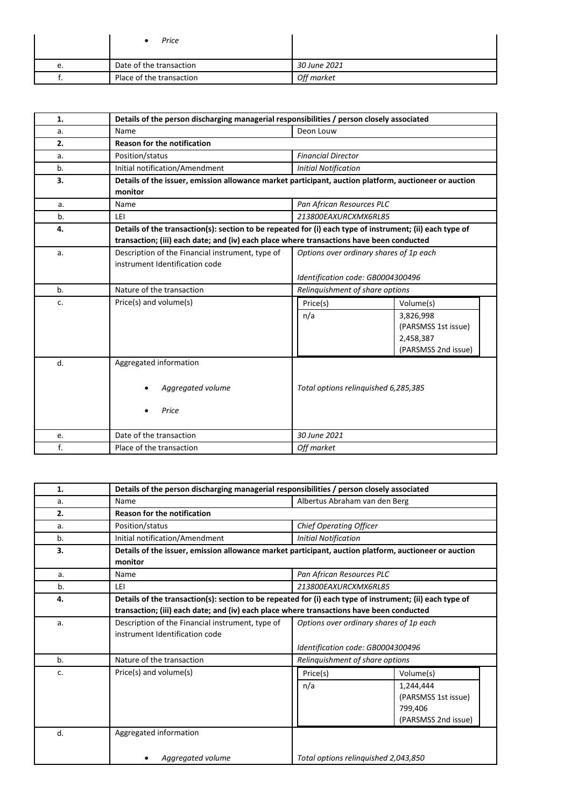|    | Price                    |              |
|----|--------------------------|--------------|
| e. | Date of the transaction  | 30 June 2021 |
|    | Place of the transaction | Off market   |

| 1.             | Details of the person discharging managerial responsibilities / person closely associated                |                                         |                     |  |
|----------------|----------------------------------------------------------------------------------------------------------|-----------------------------------------|---------------------|--|
| a.             | Name                                                                                                     | Deon Louw                               |                     |  |
| 2.             | <b>Reason for the notification</b>                                                                       |                                         |                     |  |
| a.             | Position/status                                                                                          | <b>Financial Director</b>               |                     |  |
| b.             | Initial notification/Amendment                                                                           | <b>Initial Notification</b>             |                     |  |
| 3.             | Details of the issuer, emission allowance market participant, auction platform, auctioneer or auction    |                                         |                     |  |
|                | monitor                                                                                                  |                                         |                     |  |
| a.             | Name                                                                                                     | Pan African Resources PLC               |                     |  |
| b.             | LEI                                                                                                      | 213800EAXURCXMX6RL85                    |                     |  |
| 4.             | Details of the transaction(s): section to be repeated for (i) each type of instrument; (ii) each type of |                                         |                     |  |
|                | transaction; (iii) each date; and (iv) each place where transactions have been conducted                 |                                         |                     |  |
| a.             | Description of the Financial instrument, type of                                                         | Options over ordinary shares of 1p each |                     |  |
|                | instrument Identification code                                                                           |                                         |                     |  |
|                |                                                                                                          | Identification code: GB0004300496       |                     |  |
| b <sub>1</sub> | Nature of the transaction                                                                                | Relinquishment of share options         |                     |  |
| c.             | Price(s) and volume(s)                                                                                   | Price(s)<br>Volume(s)                   |                     |  |
|                |                                                                                                          | n/a                                     | 3,826,998           |  |
|                |                                                                                                          |                                         | (PARSMSS 1st issue) |  |
|                |                                                                                                          |                                         | 2,458,387           |  |
|                |                                                                                                          |                                         | (PARSMSS 2nd issue) |  |
| d.             | Aggregated information                                                                                   |                                         |                     |  |
|                |                                                                                                          |                                         |                     |  |
|                | Aggregated volume                                                                                        | Total options relinguished 6,285,385    |                     |  |
|                |                                                                                                          |                                         |                     |  |
|                | Price                                                                                                    |                                         |                     |  |
|                |                                                                                                          |                                         |                     |  |
| e.             | Date of the transaction                                                                                  | 30 June 2021                            |                     |  |
| f.             | Place of the transaction                                                                                 | Off market                              |                     |  |

| 1. | Details of the person discharging managerial responsibilities / person closely associated                                                                                                            |                                                                              |  |
|----|------------------------------------------------------------------------------------------------------------------------------------------------------------------------------------------------------|------------------------------------------------------------------------------|--|
| a. | Name                                                                                                                                                                                                 | Albertus Abraham van den Berg                                                |  |
| 2. | Reason for the notification                                                                                                                                                                          |                                                                              |  |
| a. | Position/status                                                                                                                                                                                      | <b>Chief Operating Officer</b>                                               |  |
| b. | Initial notification/Amendment                                                                                                                                                                       | <b>Initial Notification</b>                                                  |  |
| 3. | Details of the issuer, emission allowance market participant, auction platform, auctioneer or auction<br>monitor                                                                                     |                                                                              |  |
| a. | Name                                                                                                                                                                                                 | Pan African Resources PLC                                                    |  |
| b. | LEI                                                                                                                                                                                                  | 213800EAXURCXMX6RL85                                                         |  |
| 4. | Details of the transaction(s): section to be repeated for (i) each type of instrument; (ii) each type of<br>transaction; (iii) each date; and (iv) each place where transactions have been conducted |                                                                              |  |
| a. | Description of the Financial instrument, type of<br>instrument Identification code                                                                                                                   | Options over ordinary shares of 1p each<br>Identification code: GB0004300496 |  |
| b. | Nature of the transaction                                                                                                                                                                            | Relinquishment of share options                                              |  |
| c. | Price(s) and volume(s)                                                                                                                                                                               | Price(s)<br>Volume(s)                                                        |  |
|    |                                                                                                                                                                                                      | n/a<br>1,244,444<br>(PARSMSS 1st issue)<br>799,406<br>(PARSMSS 2nd issue)    |  |
| d. | Aggregated information                                                                                                                                                                               |                                                                              |  |
|    | Aggregated volume                                                                                                                                                                                    | Total options relinguished 2,043,850                                         |  |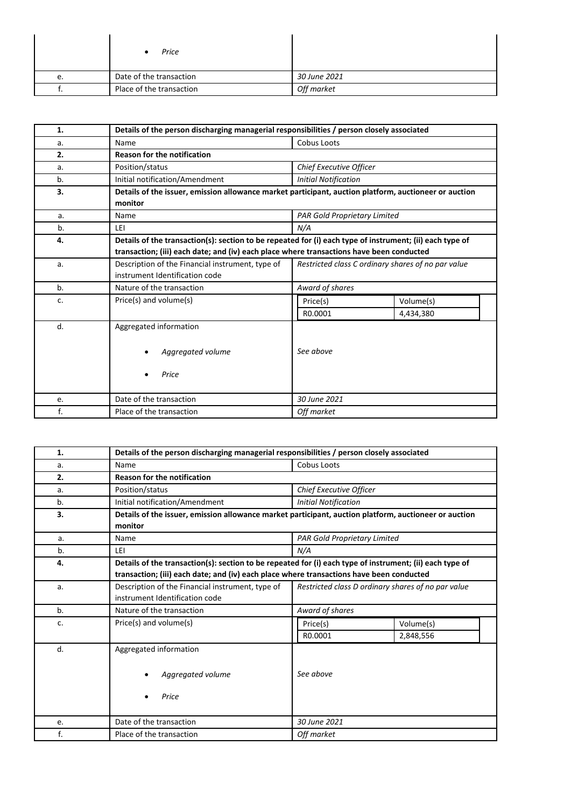|    | Price                    |              |
|----|--------------------------|--------------|
| e. | Date of the transaction  | 30 June 2021 |
|    | Place of the transaction | Off market   |

| 1. | Details of the person discharging managerial responsibilities / person closely associated                                                                                                            |                                                    |  |  |
|----|------------------------------------------------------------------------------------------------------------------------------------------------------------------------------------------------------|----------------------------------------------------|--|--|
| a. | Name                                                                                                                                                                                                 | Cobus Loots                                        |  |  |
| 2. | Reason for the notification                                                                                                                                                                          |                                                    |  |  |
| a. | Position/status                                                                                                                                                                                      | Chief Executive Officer                            |  |  |
| b. | Initial notification/Amendment                                                                                                                                                                       | <b>Initial Notification</b>                        |  |  |
| 3. | Details of the issuer, emission allowance market participant, auction platform, auctioneer or auction<br>monitor                                                                                     |                                                    |  |  |
| a. | Name                                                                                                                                                                                                 | <b>PAR Gold Proprietary Limited</b>                |  |  |
| b. | LEI                                                                                                                                                                                                  | N/A                                                |  |  |
| 4. | Details of the transaction(s): section to be repeated for (i) each type of instrument; (ii) each type of<br>transaction; (iii) each date; and (iv) each place where transactions have been conducted |                                                    |  |  |
| a. | Description of the Financial instrument, type of<br>instrument Identification code                                                                                                                   | Restricted class C ordinary shares of no par value |  |  |
| b. | Nature of the transaction                                                                                                                                                                            | Award of shares                                    |  |  |
| c. | Price(s) and volume(s)                                                                                                                                                                               | Volume(s)<br>Price(s)<br>R0.0001<br>4,434,380      |  |  |
| d. | Aggregated information<br>Aggregated volume<br>Price                                                                                                                                                 | See above                                          |  |  |
| e. | Date of the transaction                                                                                                                                                                              | 30 June 2021                                       |  |  |
| f. | Place of the transaction                                                                                                                                                                             | Off market                                         |  |  |

| 1. | Details of the person discharging managerial responsibilities / person closely associated                                                                                                            |                                                    |           |  |
|----|------------------------------------------------------------------------------------------------------------------------------------------------------------------------------------------------------|----------------------------------------------------|-----------|--|
| a. | Name                                                                                                                                                                                                 | <b>Cobus Loots</b>                                 |           |  |
| 2. | <b>Reason for the notification</b>                                                                                                                                                                   |                                                    |           |  |
| a. | Position/status                                                                                                                                                                                      | Chief Executive Officer                            |           |  |
| b. | Initial notification/Amendment                                                                                                                                                                       | <b>Initial Notification</b>                        |           |  |
| 3. | Details of the issuer, emission allowance market participant, auction platform, auctioneer or auction                                                                                                |                                                    |           |  |
|    | monitor                                                                                                                                                                                              |                                                    |           |  |
| a. | Name                                                                                                                                                                                                 | PAR Gold Proprietary Limited                       |           |  |
| b. | LEI                                                                                                                                                                                                  | N/A                                                |           |  |
| 4. | Details of the transaction(s): section to be repeated for (i) each type of instrument; (ii) each type of<br>transaction; (iii) each date; and (iv) each place where transactions have been conducted |                                                    |           |  |
| a. | Description of the Financial instrument, type of<br>instrument Identification code                                                                                                                   | Restricted class D ordinary shares of no par value |           |  |
| b. | Nature of the transaction                                                                                                                                                                            | Award of shares                                    |           |  |
| c. | Price(s) and volume(s)                                                                                                                                                                               | Price(s)                                           | Volume(s) |  |
|    |                                                                                                                                                                                                      | R0.0001                                            | 2,848,556 |  |
| d. | Aggregated information                                                                                                                                                                               |                                                    |           |  |
|    | Aggregated volume                                                                                                                                                                                    | See above                                          |           |  |
|    | Price                                                                                                                                                                                                |                                                    |           |  |
| e. | Date of the transaction                                                                                                                                                                              | 30 June 2021                                       |           |  |
| f. | Place of the transaction                                                                                                                                                                             | Off market                                         |           |  |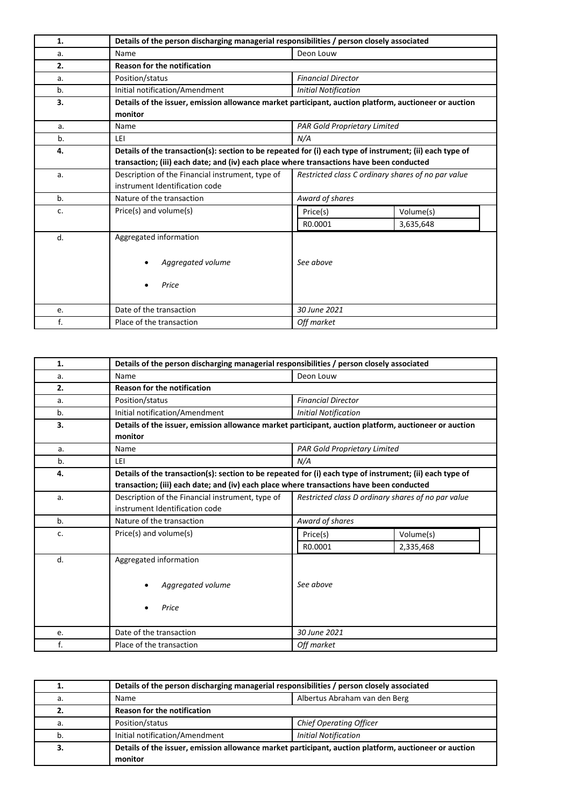| 1. | Details of the person discharging managerial responsibilities / person closely associated                                                                                                            |                                                    |                        |  |
|----|------------------------------------------------------------------------------------------------------------------------------------------------------------------------------------------------------|----------------------------------------------------|------------------------|--|
| a. | Name                                                                                                                                                                                                 | Deon Louw                                          |                        |  |
| 2. | <b>Reason for the notification</b>                                                                                                                                                                   |                                                    |                        |  |
| a. | Position/status                                                                                                                                                                                      | <b>Financial Director</b>                          |                        |  |
| b. | Initial notification/Amendment                                                                                                                                                                       | <b>Initial Notification</b>                        |                        |  |
| 3. | Details of the issuer, emission allowance market participant, auction platform, auctioneer or auction<br>monitor                                                                                     |                                                    |                        |  |
| a. | Name                                                                                                                                                                                                 | <b>PAR Gold Proprietary Limited</b>                |                        |  |
| b. | LEI                                                                                                                                                                                                  | N/A                                                |                        |  |
| 4. | Details of the transaction(s): section to be repeated for (i) each type of instrument; (ii) each type of<br>transaction; (iii) each date; and (iv) each place where transactions have been conducted |                                                    |                        |  |
| a. | Description of the Financial instrument, type of<br>instrument Identification code                                                                                                                   | Restricted class C ordinary shares of no par value |                        |  |
| b. | Nature of the transaction                                                                                                                                                                            | Award of shares                                    |                        |  |
| c. | Price(s) and volume(s)                                                                                                                                                                               | Price(s)<br>R0.0001                                | Volume(s)<br>3,635,648 |  |
| d. | Aggregated information<br>Aggregated volume<br>Price                                                                                                                                                 | See above                                          |                        |  |
| e. | Date of the transaction                                                                                                                                                                              | 30 June 2021                                       |                        |  |
| f. | Place of the transaction                                                                                                                                                                             | Off market                                         |                        |  |

| 1. | Details of the person discharging managerial responsibilities / person closely associated                                                                                                            |                                                    |           |  |
|----|------------------------------------------------------------------------------------------------------------------------------------------------------------------------------------------------------|----------------------------------------------------|-----------|--|
| a. | Name                                                                                                                                                                                                 | Deon Louw                                          |           |  |
| 2. | <b>Reason for the notification</b>                                                                                                                                                                   |                                                    |           |  |
| a. | Position/status                                                                                                                                                                                      | <b>Financial Director</b>                          |           |  |
| b. | Initial notification/Amendment                                                                                                                                                                       | <b>Initial Notification</b>                        |           |  |
| 3. | Details of the issuer, emission allowance market participant, auction platform, auctioneer or auction<br>monitor                                                                                     |                                                    |           |  |
| a. | Name                                                                                                                                                                                                 | <b>PAR Gold Proprietary Limited</b>                |           |  |
| b. | LEI                                                                                                                                                                                                  | N/A                                                |           |  |
| 4. | Details of the transaction(s): section to be repeated for (i) each type of instrument; (ii) each type of<br>transaction; (iii) each date; and (iv) each place where transactions have been conducted |                                                    |           |  |
| a. | Description of the Financial instrument, type of<br>instrument Identification code                                                                                                                   | Restricted class D ordinary shares of no par value |           |  |
| b. | Nature of the transaction                                                                                                                                                                            | Award of shares                                    |           |  |
| c. | Price(s) and volume(s)                                                                                                                                                                               | Price(s)                                           | Volume(s) |  |
|    |                                                                                                                                                                                                      | R0.0001                                            | 2,335,468 |  |
| d. | Aggregated information<br>Aggregated volume<br>Price                                                                                                                                                 | See above                                          |           |  |
| e. | Date of the transaction                                                                                                                                                                              | 30 June 2021                                       |           |  |
| f. | Place of the transaction                                                                                                                                                                             | Off market                                         |           |  |

|    | Details of the person discharging managerial responsibilities / person closely associated             |                                |  |
|----|-------------------------------------------------------------------------------------------------------|--------------------------------|--|
| a. | Albertus Abraham van den Berg<br>Name                                                                 |                                |  |
| z. | Reason for the notification                                                                           |                                |  |
| а. | Position/status                                                                                       | <b>Chief Operating Officer</b> |  |
|    | Initial notification/Amendment                                                                        | <b>Initial Notification</b>    |  |
|    | Details of the issuer, emission allowance market participant, auction platform, auctioneer or auction |                                |  |
|    | monitor                                                                                               |                                |  |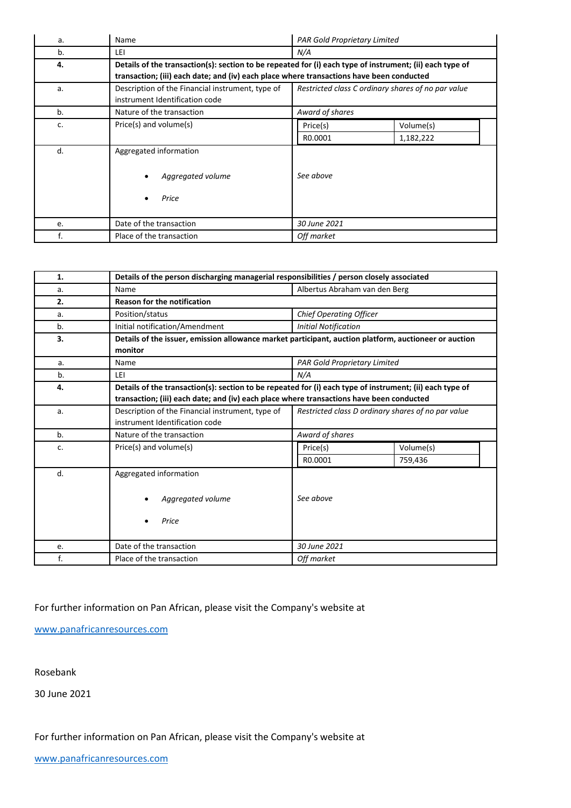| a. | Name                                                                                                                                                                                                 | <b>PAR Gold Proprietary Limited</b>                |  |
|----|------------------------------------------------------------------------------------------------------------------------------------------------------------------------------------------------------|----------------------------------------------------|--|
| b. | LEI                                                                                                                                                                                                  | N/A                                                |  |
| 4. | Details of the transaction(s): section to be repeated for (i) each type of instrument; (ii) each type of<br>transaction; (iii) each date; and (iv) each place where transactions have been conducted |                                                    |  |
| a. | Description of the Financial instrument, type of<br>instrument Identification code                                                                                                                   | Restricted class C ordinary shares of no par value |  |
| b. | Nature of the transaction                                                                                                                                                                            | Award of shares                                    |  |
| c. | Price(s) and volume(s)                                                                                                                                                                               | Volume(s)<br>Price(s)<br>R0.0001<br>1,182,222      |  |
| d. | Aggregated information<br>Aggregated volume<br>Price                                                                                                                                                 | See above                                          |  |
| e. | Date of the transaction                                                                                                                                                                              | 30 June 2021                                       |  |
| f. | Place of the transaction                                                                                                                                                                             | Off market                                         |  |

| 1. | Details of the person discharging managerial responsibilities / person closely associated                                                                                                            |                                                    |           |  |
|----|------------------------------------------------------------------------------------------------------------------------------------------------------------------------------------------------------|----------------------------------------------------|-----------|--|
| a. | Name                                                                                                                                                                                                 | Albertus Abraham van den Berg                      |           |  |
| 2. | <b>Reason for the notification</b>                                                                                                                                                                   |                                                    |           |  |
| a. | Position/status                                                                                                                                                                                      | <b>Chief Operating Officer</b>                     |           |  |
| b. | Initial notification/Amendment                                                                                                                                                                       | <b>Initial Notification</b>                        |           |  |
| 3. | Details of the issuer, emission allowance market participant, auction platform, auctioneer or auction<br>monitor                                                                                     |                                                    |           |  |
| a. | Name                                                                                                                                                                                                 | <b>PAR Gold Proprietary Limited</b>                |           |  |
| b. | LEI                                                                                                                                                                                                  | N/A                                                |           |  |
| 4. | Details of the transaction(s): section to be repeated for (i) each type of instrument; (ii) each type of<br>transaction; (iii) each date; and (iv) each place where transactions have been conducted |                                                    |           |  |
| a. | Description of the Financial instrument, type of<br>instrument Identification code                                                                                                                   | Restricted class D ordinary shares of no par value |           |  |
| b. | Nature of the transaction                                                                                                                                                                            | Award of shares                                    |           |  |
| c. | Price(s) and volume(s)                                                                                                                                                                               | Price(s)                                           | Volume(s) |  |
|    |                                                                                                                                                                                                      | R0.0001                                            | 759,436   |  |
| d. | Aggregated information<br>Aggregated volume<br>Price                                                                                                                                                 | See above                                          |           |  |
| e. | Date of the transaction                                                                                                                                                                              | 30 June 2021                                       |           |  |
| f. | Place of the transaction                                                                                                                                                                             | Off market                                         |           |  |

## For further information on Pan African, please visit the Company's website at

[www.panafricanresources.com](http://www.panafricanresources.com/)

Rosebank

30 June 2021

For further information on Pan African, please visit the Company's website at